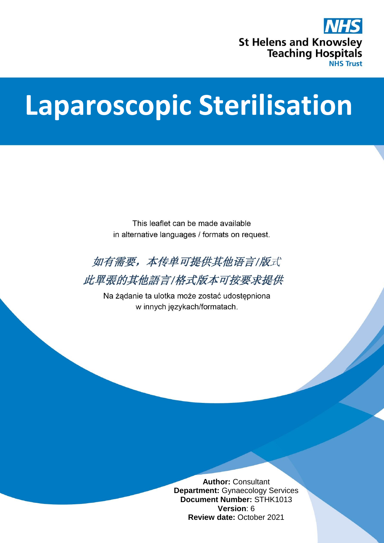

# **Laparoscopic Sterilisation**

This leaflet can be made available in alternative languages / formats on request.



此單張的其他語言/格式版本可按要求提供

Na żądanie ta ulotka może zostać udostępniona w innych językach/formatach.

> **Author:** Consultant **Department:** Gynaecology Services **Document Number:** STHK1013 **Version**: 6 **Review date:** October 2021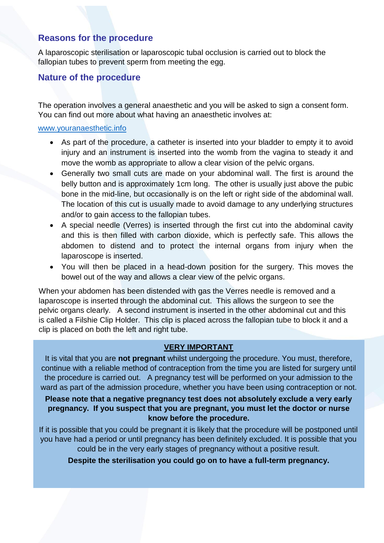#### **Reasons for the procedure**

A laparoscopic sterilisation or laparoscopic tubal occlusion is carried out to block the fallopian tubes to prevent sperm from meeting the egg.

#### **Nature of the procedure**

The operation involves a general anaesthetic and you will be asked to sign a consent form. You can find out more about what having an anaesthetic involves at:

#### [www.youranaesthetic.info](http://www.youranaesthetic.info/)

- As part of the procedure, a catheter is inserted into your bladder to empty it to avoid injury and an instrument is inserted into the womb from the vagina to steady it and move the womb as appropriate to allow a clear vision of the pelvic organs.
- Generally two small cuts are made on your abdominal wall. The first is around the belly button and is approximately 1cm long. The other is usually just above the pubic bone in the mid-line, but occasionally is on the left or right side of the abdominal wall. The location of this cut is usually made to avoid damage to any underlying structures and/or to gain access to the fallopian tubes.
- A special needle (Verres) is inserted through the first cut into the abdominal cavity and this is then filled with carbon dioxide, which is perfectly safe. This allows the abdomen to distend and to protect the internal organs from injury when the laparoscope is inserted.
- You will then be placed in a head-down position for the surgery. This moves the bowel out of the way and allows a clear view of the pelvic organs.

When your abdomen has been distended with gas the Verres needle is removed and a laparoscope is inserted through the abdominal cut. This allows the surgeon to see the pelvic organs clearly. A second instrument is inserted in the other abdominal cut and this is called a Filshie Clip Holder. This clip is placed across the fallopian tube to block it and a clip is placed on both the left and right tube.

#### **VERY IMPORTANT**

It is vital that you are **not pregnant** whilst undergoing the procedure. You must, therefore, continue with a reliable method of contraception from the time you are listed for surgery until the procedure is carried out. A pregnancy test will be performed on your admission to the ward as part of the admission procedure, whether you have been using contraception or not.

#### **Please note that a negative pregnancy test does not absolutely exclude a very early pregnancy. If you suspect that you are pregnant, you must let the doctor or nurse know before the procedure.**

If it is possible that you could be pregnant it is likely that the procedure will be postponed until you have had a period or until pregnancy has been definitely excluded. It is possible that you could be in the very early stages of pregnancy without a positive result.

**Despite the sterilisation you could go on to have a full-term pregnancy.**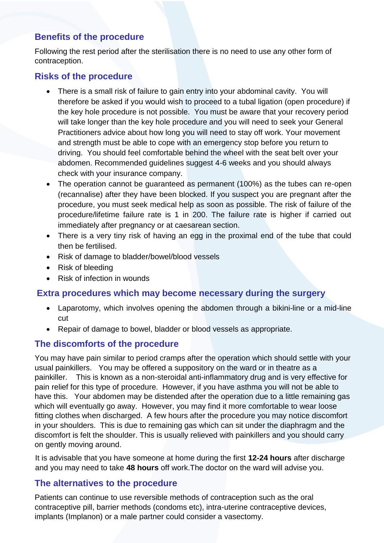## **Benefits of the procedure**

Following the rest period after the sterilisation there is no need to use any other form of contraception.

## **Risks of the procedure**

- There is a small risk of failure to gain entry into your abdominal cavity. You will therefore be asked if you would wish to proceed to a tubal ligation (open procedure) if the key hole procedure is not possible. You must be aware that your recovery period will take longer than the key hole procedure and you will need to seek your General Practitioners advice about how long you will need to stay off work. Your movement and strength must be able to cope with an emergency stop before you return to driving. You should feel comfortable behind the wheel with the seat belt over your abdomen. Recommended guidelines suggest 4-6 weeks and you should always check with your insurance company.
- The operation cannot be guaranteed as permanent (100%) as the tubes can re-open (recannalise) after they have been blocked. If you suspect you are pregnant after the procedure, you must seek medical help as soon as possible. The risk of failure of the procedure/lifetime failure rate is 1 in 200. The failure rate is higher if carried out immediately after pregnancy or at caesarean section.
- There is a very tiny risk of having an egg in the proximal end of the tube that could then be fertilised.
- Risk of damage to bladder/bowel/blood vessels
- Risk of bleeding
- Risk of infection in wounds

## **Extra procedures which may become necessary during the surgery**

- Laparotomy, which involves opening the abdomen through a bikini-line or a mid-line cut
- Repair of damage to bowel, bladder or blood vessels as appropriate.

## **The discomforts of the procedure**

You may have pain similar to period cramps after the operation which should settle with your usual painkillers. You may be offered a suppository on the ward or in theatre as a painkiller. This is known as a non-steroidal anti-inflammatory drug and is very effective for pain relief for this type of procedure. However, if you have asthma you will not be able to have this. Your abdomen may be distended after the operation due to a little remaining gas which will eventually go away. However, you may find it more comfortable to wear loose fitting clothes when discharged. A few hours after the procedure you may notice discomfort in your shoulders. This is due to remaining gas which can sit under the diaphragm and the discomfort is felt the shoulder. This is usually relieved with painkillers and you should carry on gently moving around.

It is advisable that you have someone at home during the first **12-24 hours** after discharge and you may need to take **48 hours** off work.The doctor on the ward will advise you.

## **The alternatives to the procedure**

Patients can continue to use reversible methods of contraception such as the oral contraceptive pill, barrier methods (condoms etc), intra-uterine contraceptive devices, implants (Implanon) or a male partner could consider a vasectomy.